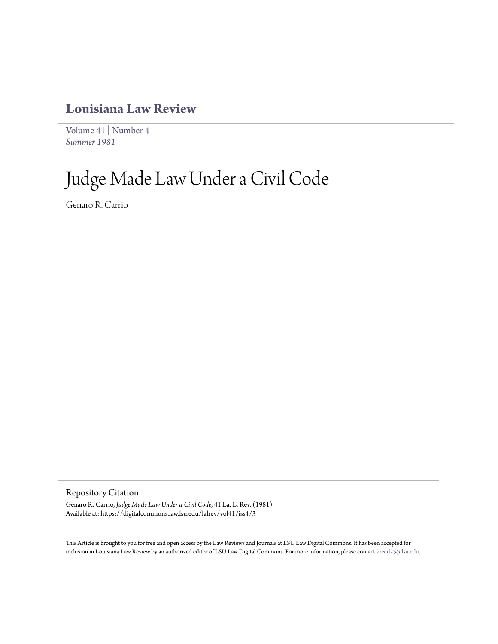## **[Louisiana Law Review](https://digitalcommons.law.lsu.edu/lalrev)**

[Volume 41](https://digitalcommons.law.lsu.edu/lalrev/vol41) | [Number 4](https://digitalcommons.law.lsu.edu/lalrev/vol41/iss4) *[Summer 1981](https://digitalcommons.law.lsu.edu/lalrev/vol41/iss4)*

## Judge Made Law Under a Civil Code

Genaro R. Carrio

Repository Citation

Genaro R. Carrio, *Judge Made Law Under a Civil Code*, 41 La. L. Rev. (1981) Available at: https://digitalcommons.law.lsu.edu/lalrev/vol41/iss4/3

This Article is brought to you for free and open access by the Law Reviews and Journals at LSU Law Digital Commons. It has been accepted for inclusion in Louisiana Law Review by an authorized editor of LSU Law Digital Commons. For more information, please contact [kreed25@lsu.edu](mailto:kreed25@lsu.edu).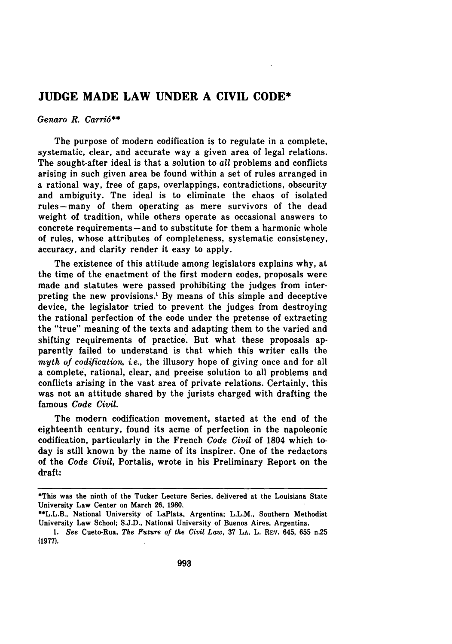## **JUDGE MADE LAW UNDER A CIVIL CODE\***

## *Genaro R. Cart/6\*\**

The purpose of modern codification is to regulate in a complete, systematic, clear, and accurate way a given area of legal relations. The sought-after ideal is that a solution to *all* problems and conflicts arising in such given area be found within a set of rules arranged in a rational way, free of gaps, overlappings, contradictions, obscurity and ambiguity. Tne ideal is to eliminate the chaos of isolated rules-many of them operating as mere survivors of the dead weight of tradition, while others operate as occasional answers to concrete requirements - and to substitute for them a harmonic whole of rules, whose attributes of completeness, systematic consistency, accuracy, and clarity render it easy to apply.

The existence of this attitude among legislators explains why, at the time of the enactment of the first modern codes, proposals were made and statutes were passed prohibiting the judges from interpreting the new provisions.1 By means of this simple and deceptive device, the legislator tried to prevent the judges from destroying the rational perfection of the code under the pretense of extracting the "true" meaning of the texts and adapting them to the varied and shifting requirements of practice. But what these proposals apparently failed to understand is that which this writer calls the *myth of codification, ie.,* the illusory hope of giving once and for all a complete, rational, clear, and precise solution to all problems and conflicts arising in the vast area of private relations. Certainly, this was not an attitude shared by the jurists charged with drafting the famous *Code Civil.*

The modern codification movement, started at the end of the eighteenth century, found its acme of perfection in the napoleonic codification, particularly in the French *Code Civil* of 1804 which today is still known by the name of its inspirer. One of the redactors of the *Code Civil,* Portalis, wrote in his Preliminary Report on the draft:

<sup>\*</sup>This was the ninth of the Tucker Lecture Series, delivered at the Louisiana State University Law Center on March **26,** 1980.

<sup>\*\*</sup>L.L.B., National University of LaPlata, Argentina; L.L.M., Southern Methodist University Law School; S.J.D., National University of Buenos Aires, Argentina.

*<sup>1.</sup> See* Cueto-Rua, *The Future of the Civil Law,* **37 LA.** L. REV. 645, **655** n.25 **(1977).**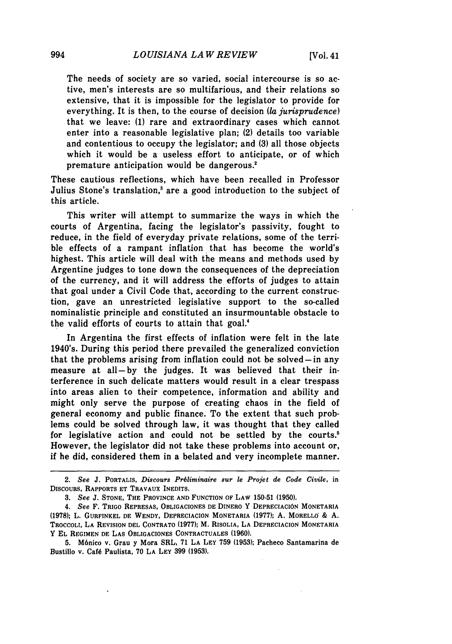The needs of society are so varied, social intercourse is so active, men's interests are so multifarious, and their relations so extensive, that it is impossible for the legislator to provide for everything. It is then, to the course of decision *(1a jurisprudence)* that we leave: (1) rare and extraordinary cases which cannot enter into a reasonable legislative plan; (2) details too variable and contentious to occupy the legislator; and (3) all those objects which it would be a useless effort to anticipate, or of which premature anticipation would be dangerous.<sup>2</sup>

These cautious reflections, which have been recalled in Professor Julius Stone's translation,<sup>3</sup> are a good introduction to the subject of this article.

This writer will attempt to summarize the ways in which the courts of Argentina, facing the legislator's passivity, fought to reduce, in the field of everyday private relations, some of the terrible effects of a rampant inflation that has become the world's highest. This article will deal with the means and methods used by Argentine judges to tone down the consequences of the depreciation of the currency, and it will address the efforts of judges to attain that goal under a Civil Code that, according to the current construction, gave an unrestricted legislative support to the so-called nominalistic principle and constituted an insurmountable obstacle to the valid efforts of courts to attain that goal.'

In Argentina the first effects of inflation were felt in the late 1940's. During this period there prevailed the generalized conviction that the problems arising from inflation could not be solved-in any measure at all-by the judges. It was believed that their interference in such delicate matters would result in a clear trespass into areas alien to their competence, information and ability and might only serve the purpose of creating chaos in the field of general economy and public finance. To the extent that such problems could be solved through law, it was thought that they called for legislative action and could not be settled by the courts.<sup>5</sup> However, the legislator did not take these problems into account or, if he did, considered them in a belated and very incomplete manner.

5. M6nico v. Grau y Mora SRL, 71 **LA LEY** 759 (1953); Pacheco Santamarina de Bustillo v. Card Paulista, 70 **LA LEY** 399 (1953).

<sup>2.</sup> *See* **J.** PORTALIS, *Discours Pr6liminaire sur le Projet de Code Civile,* in DIsCOURS, RAPPORTS ET TRAVAUX INEDITS.

*<sup>3.</sup> See* J. STONE, THE PROVINCE **AND** FUNCTION OF LAW 150-51 (1950).

*<sup>4.</sup> See* F. TRIGO REPRESAS, OBLIGACIONES DE DINERO Y DEPRECIACION MONETARIA **(1978);** L. GURFINKEL DE WENDY, DEPRECIACION MONETARIA (1977); A. MORELLO *&* A. TROCCOL, **LA** REVISION **DEL** CONTRATO **(1977);** M. RISOLIA, **LA DEPRECIACION MONETARIA** Y **EL REGIMEN DE LAS OBLIGACIONES CONTRACTUALES** (1960).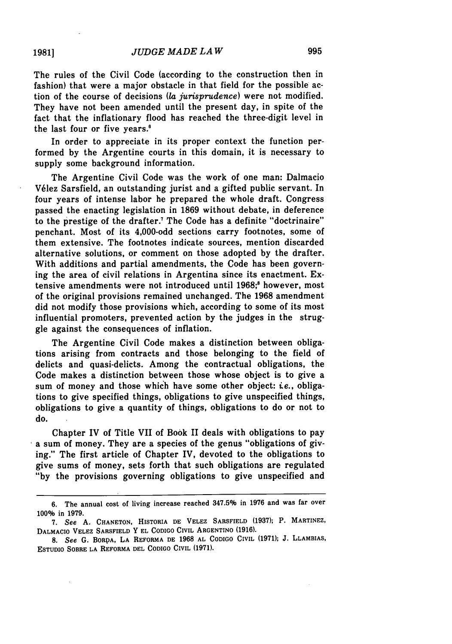The rules of the Civil Code (according to the construction then in fashion) that were a major obstacle in that field for the possible action of the course of decisions *(Ia jurisprudence)* were not modified. They have not been amended until the present day, in spite of the fact that the inflationary flood has reached the three-digit level in the last four or five years.'

In order to appreciate in its proper context the function performed by the Argentine courts in this domain, it is necessary to supply some background information.

The Argentine Civil Code was the work of one man: Dalmacio V6lez Sarsfield, an outstanding jurist and a gifted public servant. In four years of intense labor he prepared the whole draft. Congress passed the enacting legislation in 1869 without debate, in deference to the prestige of the drafter.' The Code has a definite "doctrinaire" penchant. Most of its 4,000-odd sections carry footnotes, some of them extensive. The footnotes indicate sources, mention discarded alternative solutions, or comment on those adopted by the drafter. With additions and partial amendments, the Code has been governing the area of civil relations in Argentina since its enactment. Extensive amendments were not introduced until 1968;<sup>8</sup> however, most of the original provisions remained unchanged. The 1968 amendment did not modify those provisions which, according to some of its most influential promoters, prevented action by the judges in the struggle against the consequences of inflation.

The Argentine Civil Code makes a distinction between obligations arising from contracts and those belonging to the field of delicts and quasi-delicts. Among the contractual obligations, the Code makes a distinction between those whose object is to give a sum of money and those which have some other object: *i.e.*, obligations to give specified things, obligations to give unspecified things, obligations to give a quantity of things, obligations to do or not to do.

Chapter IV of Title VII of Book II deals with obligations to pay a sum of money. They are a species of the genus "obligations of giving." The first article of Chapter IV, devoted to the obligations to give sums of money, sets forth that such obligations are regulated "by the provisions governing obligations to give unspecified and

**1981]**

<sup>6.</sup> The annual cost of living increase reached 347.5% in 1976 and was far over 100% in 1979.

**<sup>7.</sup>** See **A.** CHANETON, HISTORIA **DE** VELEZ SARSFIELD **(1937);** P. MARTINEZ, **DALMACIO** VELEZ **SARSFIELD** Y **EL** CODIGO CIVIL **ARGENTINO (1916).**

**<sup>8.</sup>** See **G.** BORPA, **LA** REFORMA **DE 1968 AL** CODIGO CIVIL (1971); **J.** LLAMBIAS, ESTUDIO SOBRE **LA** REFORMA **DEL** CODIGO CIVIL **(1971).**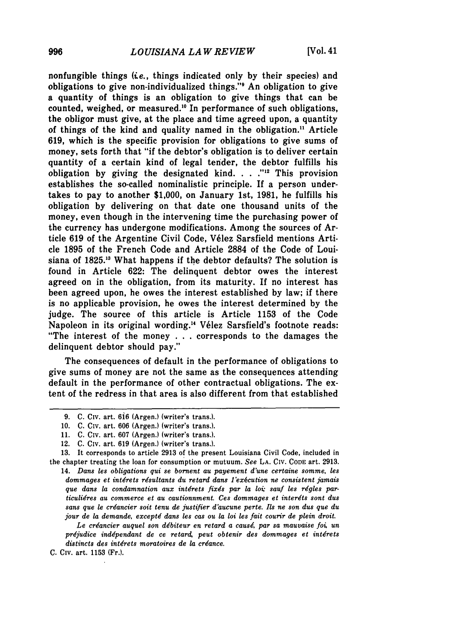nonfungible things (ie., things indicated only **by** their species) and obligations to give non-individualized things."' An obligation to give a quantity of things is an obligation to give things that can be counted, weighed, or measured.10 In performance of such obligations, the obligor must give, at the place and time agreed upon, a quantity of things of the kind and quality named in the obligation." Article **619,** which is the specific provision for obligations to give sums of money, sets forth that "if the debtor's obligation is to deliver certain quantity of a certain kind of legal tender, the debtor fulfills his obligation **by** giving the designated kind... **.'"I** This provision establishes the so-called nominalistic principle. If a person undertakes to pay to another **\$1,000,** on January 1st, **1981,** he fulfills his obligation **by** delivering on that date one thousand units of the money, even though in the intervening time the purchasing power of the currency has undergone modifications. Among the sources of Article 619 of the Argentine Civil Code, Vélez Sarsfield mentions Article **1895** of the French Code and Article **2884** of the Code of Louisiana of 1825.<sup>13</sup> What happens if the debtor defaults? The solution is found in Article **622:** The delinquent debtor owes the interest agreed on in the obligation, from its maturity. If no interest has been agreed upon, he owes the interest established **by** law; if there is no applicable provision, he owes the interest determined **by** the judge. The source of this article is Article **1153** of the Code Napoleon in its original wording.<sup>14</sup> Vélez Sarsfield's footnote reads: "The interest of the money **. . .** corresponds to the damages the delinquent debtor should pay."

The consequences of default in the performance of obligations to give sums of money are not the same as the consequences attending default in the performance of other contractual obligations. The extent of the redress in that area is also different from that established

**13.** It corresponds to article **2913** of the present Louisiana Civil Code, included in the chapter treating the loan for consumption or mutuum. See **LA.** CIv. CODE art. **2913.**

14. *Dans les obligations qui se bornent au payement d'une certaine somme, les dommages et intdrets rdsultants du retard dans 1'execution ne consistent jamais que dans la condamnation aux intdrets fixds par la loi sauf les rdgles particulidres au commerce et au cautionnment. Ces dommages et interdts sont dus sans que le crdancier soit tenu de justifier d'aucune perte.* Ils *ne son dus que du jour de la demande, except4 dans les cas ou* la *loi les fait courir de plein droit.*

*Le crdancier auquel son ddbiteur en retard a causd, par sa mauvaise foi, un pre'judice inddpendant de ce retard, peut obtenir des dommages et intdrets distincts des intdrets moratoires de la crdance.*

**C.** Civ. art. **1153** (Fr.).

**<sup>9.</sup>** C. Civ. art. 6i6 (Argen.) (writer's trans.).

**<sup>10.</sup> C.** Civ. art. **606** (Argen.) (writer's trans.).

**<sup>11.</sup> C.** Civ. art. **607** (Argen.) (writer's trans.).

<sup>12.</sup> **C.** Civ. art. **619** (Argen.) (writer's trans.).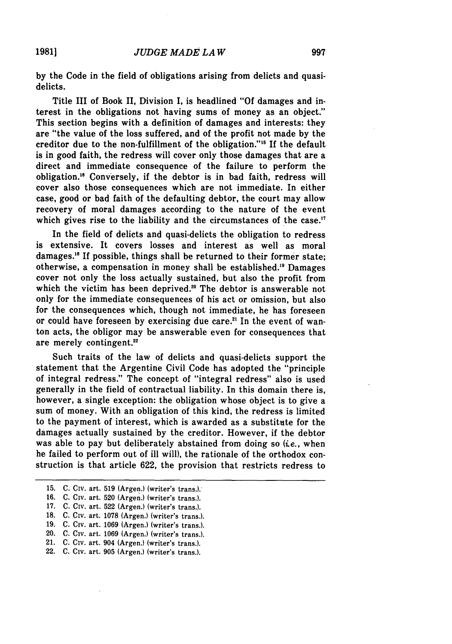**by** the Code in the field of obligations arising from delicts and quasidelicts.

Title III of Book II, Division **I,** is headlined **"Of** damages and interest in the obligations not having sums of money as an object." This section begins with a definition of damages and interests: they are "the value of the loss suffered, and of the profit not made **by** the creditor due to the non-fulfillment of the obligation."<sup>15</sup> If the default is in good faith, the redress will cover only those damages that are a direct and immediate consequence of the failure to perform the obligation."6 Conversely, if the debtor is in bad faith, redress will cover also those consequences which are not immediate. In either case, good or bad faith of the defaulting debtor, the court may allow recovery of moral damages according to the nature of the event which gives rise to the liability and the circumstances of the case.<sup>17</sup>

In the field of delicts and quasi-delicts the obligation to redress is extensive. It covers losses and interest as well as moral damages.<sup>18</sup> If possible, things shall be returned to their former state; otherwise, a compensation in money shall be established.<sup>19</sup> Damages cover not only the loss actually sustained, but also the profit from which the victim has been deprived.<sup>20</sup> The debtor is answerable not only for the immediate consequences of his act or omission, but also for the consequences which, though not immediate, he has foreseen or could have foreseen **by** exercising due care."' In the event of wanton acts, the obligor may be answerable even for consequences that are merely contingent.<sup>22</sup>

Such traits of the law of delicts and quasi-delicts support the statement that the Argentine Civil Code has adopted the "principle of integral redress." The concept of "integral redress" also is used generally in the field of contractual liability. In this domain there is, however, a single exception: the obligation whose object is to give a sum of money. With an obligation of this kind, the redress is limited to the payment of interest, which is awarded as a substitute for the damages actually sustained **by** the creditor. However, if the debtor was able to pay but deliberately abstained from doing so  $(i.e., when)$ he failed to perform out of ill will), the rationale of the orthodox construction is that article **622,** the provision that restricts redress to

**<sup>15.</sup> C.** Civ. art. **519** (Argen.) (writer's trans.).

**<sup>16.</sup> C.** Civ. art. **520** (Argen.) (writer's trans.).

**<sup>17.</sup> C.** Civ. art. **522** (Argen.) (writer's trans.).

**<sup>18.</sup> C.** Civ. art. **1078** (Argen.) (writer's trans.).

**<sup>19.</sup> C.** Civ. art. **1069** (Argen.) (writer's trans.).

<sup>20.</sup> **C.** Civ. art. **1069** (Argen.) (writer's trans.).

<sup>21.</sup> **C.** Civ. art. 904 (Argen.) (writer's trans.).

<sup>22.</sup> **C.** Civ. art. **905** (Argen.) (writer's trans.).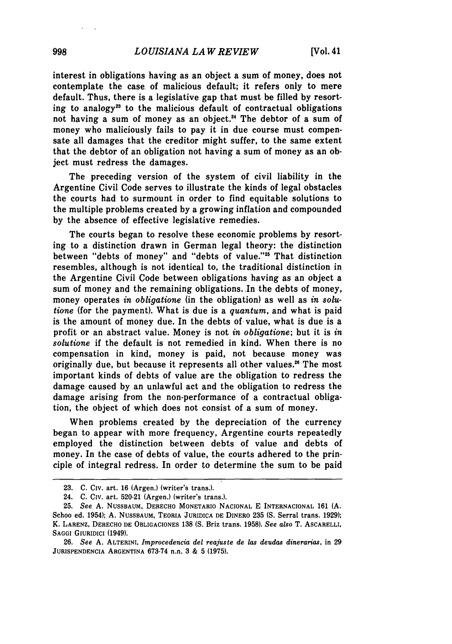interest in obligations having as an object a sum of money, does not contemplate the case of malicious default; it refers only to mere default. Thus, there is a legislative gap that must be filled **by** resorting to analogy<sup>23</sup> to the malicious default of contractual obligations not having a sum of money as an object.<sup>24</sup> The debtor of a sum of money who maliciously fails to pay it in due course must compensate all damages that the creditor might suffer, to the same extent that the debtor of an obligation not having a sum of money as an object must redress the damages.

The preceding version of the system of civil liability in the Argentine Civil Code serves to illustrate the kinds of legal obstacles the courts had to surmount in order to find equitable solutions to the multiple problems created **by** a growing inflation and compounded **by** the absence of effective legislative remedies.

The courts began to resolve these economic problems **by** resorting to a distinction drawn in German legal theory: the distinction between "debts of money" and "debts of value."25 That distinction resembles, although is not identical to, the traditional distinction in the Argentine Civil Code between obligations having as an object a sum of money and the remaining obligations..In the debts of money, money operates *in obligatione* (in the obligation) as well as *in solutione* (for the payment). What is due is a *quantum,* and what is paid is the amount of money due. In the debts of value, what is due is a profit or an abstract value. Money is not *in obligatione;* but it is *in solutione* if the default is not remedied in kind. When there is no compensation in kind, money is paid, not because money was originally due, but because it represents all other values.<sup>26</sup> The most important kinds of debts of value are the obligation to redress the damage caused **by** an unlawful act and the obligation to redress the damage arising from the non-performance of a contractual obligation, the object of which does not consist of a sum of money.

When problems created **by** the depreciation of the currency began to appear with more frequency, Argentine courts repeatedly employed the distinction between debts of value and debts of money. In the case of debts of value, the courts adhered to the principle of integral redress. In order to determine the sum to be paid

**<sup>23.</sup> C.** Civ. art. **16** (Argen.) (writer's trans.).

<sup>24.</sup> C. Civ. art. 520-21 (Argen.) (writer's trans.).

<sup>25.</sup> *See* A. NUSSBAUM, DERECHO MONETARIO NACIONAL E INTERNACIONAL 161 (A. Schoo ed. 1954); A. NUSSBAUM, TEORIA JURIDICA **DE** DINERO 235 (S. Serral trans. 1929); K. LARENZ, DERECHO **DE** OBLIGACIONES 138 (S. Briz trans. 1958). *See also* T. ASCARELLI, SAGGI GIURIDICI (1949).

<sup>26.</sup> *See* A. ALTERINI, *Improcedencia del reajuste de las deudas dinerarias,* in 29 JURISPENDENCIA ARGENTINA 673-74 n.n. 3 & 5 (1975).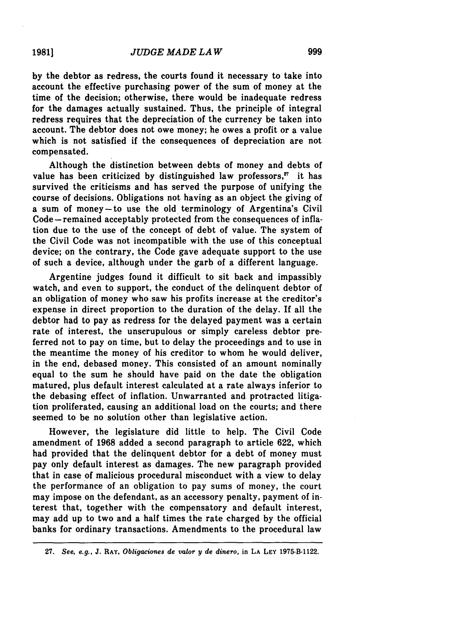**by** the debtor as redress, the courts found it necessary to take into account the effective purchasing power of the sum of money at the time of the decision; otherwise, there would be inadequate redress for the damages actually sustained. Thus, the principle of integral redress requires that the depreciation of the currency be taken into account. The debtor does not owe money; he owes a profit or a value which is not satisfied if the consequences of depreciation are not compensated.

Although the distinction between debts of money and debts of value has been criticized by distinguished law professors, $^{27}$  it has survived the criticisms and has served the purpose of unifying the course of decisions. Obligations not having as an object the giving of a sum of money-to use the old terminology of Argentina's Civil Code-remained acceptably protected from the consequences of inflation due to the use of the concept of debt of value. The system of the Civil Code was not incompatible with the use of this conceptual device; on the contrary, the Code gave adequate support to the use of such a device, although under the garb of a different language.

Argentine judges found it difficult to sit back and impassibly watch, and even to support, the conduct of the delinquent debtor of an obligation of money who saw his profits increase at the creditor's expense in direct proportion to the duration of the delay. If all the debtor had to pay as redress for the delayed payment was a certain rate of interest, the unscrupulous or simply careless debtor preferred not to pay on time, but to delay the proceedings and to use in the meantime the money of his creditor to whom he would deliver, in the end, debased money. This consisted of an amount nominally equal to the sum he should have paid on the date the obligation matured, plus default interest calculated at a rate always inferior to the debasing effect of inflation. Unwarranted and protracted litigation proliferated, causing an additional load on the courts; and there seemed to be no solution other than legislative action.

However, the legislature did little to help. The Civil Code amendment of **1968** added a second paragraph to article **622,** which had provided that the delinquent debtor for a debt of money must pay only default interest as damages. The new paragraph provided that in case of malicious procedural misconduct with a view to delay the performance of an obligation to pay sums of money, the court may impose on the defendant, as an accessory penalty, payment of interest that, together with the compensatory and default interest, may add up to two and a half times the rate charged **by** the official banks for ordinary transactions. Amendments to the procedural law

**<sup>27.</sup>** *See, e.g.,* **J.** RAY, *Obligaciones de valor y de dinero,* in **LA** LEY **1975-B-1122.**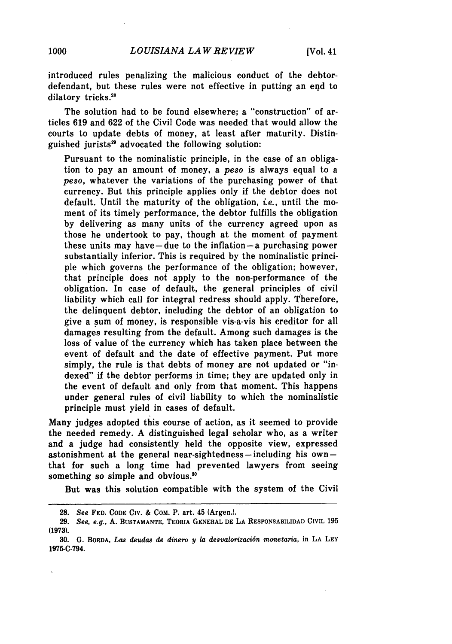introduced rules penalizing the malicious conduct of the debtordefendant, but these rules were not effective in putting an end to dilatory tricks.<sup>28</sup>

The solution had to be found elsewhere; a "construction" of articles 619 and 622 of the Civil Code was needed that would allow the courts to update debts of money, at least after maturity. Distinguished jurists" advocated the following solution:

Pursuant to the nominalistic principle, in the case of an obligation to pay an amount of money, a *peso* is always equal to a *peso,* whatever the variations of the purchasing power of that currency. But this principle applies only if the debtor does not default. Until the maturity of the obligation, *i.e.*, until the moment of its timely performance, the debtor fulfills the obligation by delivering as many units of the currency agreed upon as those he undertook to pay, though at the moment of payment these units may have-due to the inflation-a purchasing power substantially inferior. This is required by the nominalistic principle which governs the performance of the obligation; however, that principle does not apply to the non-performance of the obligation. In case of default, the general principles of civil liability which call for integral redress should apply. Therefore, the delinquent debtor, including the debtor of an obligation to give a sum of money, is responsible vis-a-vis his creditor for all damages resulting from the default. Among such damages is the loss of value of the currency which has taken place between the event of default and the date of effective payment. Put more simply, the rule is that debts of money are not updated or "indexed" if the debtor performs in time; they are updated only in the event of default and only from that moment. This happens under general rules of civil liability to which the nominalistic principle must yield in cases of default.

Many judges adopted this course of action, as it seemed to provide the needed remedy. A distinguished legal scholar who, as a writer and a judge had consistently held the opposite view, expressed astonishment at the general near-sightedness-including his ownthat for such a long time had prevented lawyers from seeing something so simple and obvious.<sup>30</sup>

But was this solution compatible with the system of the Civil

**<sup>28.</sup>** *See* **FED. CODE CIv. & COM.** P. art. 45 (Argen.).

**<sup>29.</sup>** *See, e.g.,* **A. BUSTAMANTE, TEORIA GENERAL DE LA RESPONSABILIDAD CIVIL 195 (1973).**

**<sup>30.</sup> G. BORDA,** *Las deudas de dinero* **y** *la desvalorizacidn monetaria,* in **LA LEY 1975-C-794.**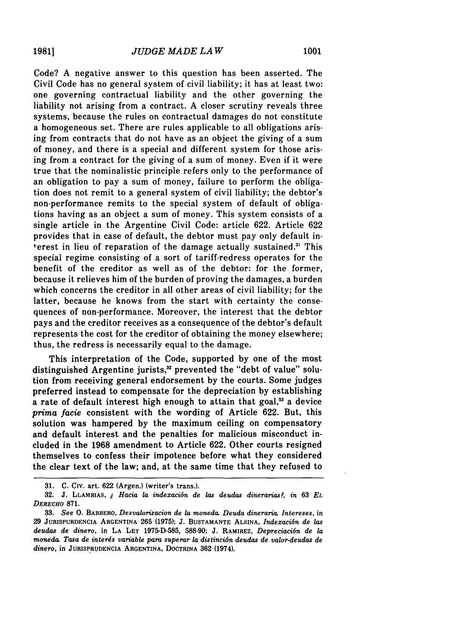Code? A negative answer to this question has been asserted. The Civil Code has no general system of civil liability; it has at least two: one governing contractual liability and the other governing the liability not arising from a contract. A closer scrutiny reveals three systems, because the rules on contractual damages do not constitute a homogeneous set. There are rules applicable to all obligations arising from contracts that do not have as an object the giving of a sum of money, and there is a special and different system for those arising from a contract for the giving of a sum of money. Even if it were true that the nominalistic principle refers only to the performance of an obligation to pay a sum of money, failure to perform the obligation does not remit to a general system of civil liability; the debtor's non-performance remits to the special system of default of obligations having as an object a sum of money. This system consists of a single article in the Argentine Civil Code: article 622. Article 622 provides that in case of default, the debtor must pay only default in- +erest in lieu of reparation of the damage actually sustained." This special regime consisting of a sort of tariff-redress operates for the benefit of the creditor as well as of the debtor: for the former, because it relieves him of the burden of proving the damages, a burden which concerns the creditor in all other areas of civil liability; for the latter, because he knows from the start with certainty the consequences of non-performance. Moreover, the interest that the debtor pays and the creditor receives as a consequence of the debtor's default represents the cost for the creditor of obtaining the money elsewhere; thus, the redress is necessarily equal to the damage.

This interpretation of the Code, supported by one of the most distinguished Argentine jurists,<sup>32</sup> prevented the "debt of value" solution from receiving general endorsement by the courts. Some judges preferred instead to compensate for the depreciation by establishing a rate of default interest high enough to attain that goal,<sup>33</sup> a device *prima facie* consistent with the wording of Article 622. But, this solution was hampered by the maximum ceiling on compensatory and default interest and the penalties for malicious misconduct included in the 1968 amendment to Article 622. Other courts resigned themselves to confess their impotence before what they considered the clear text of the law; and, at the same time that they refused to

<sup>31.</sup> C. Civ. art. 622 (Argen.) (writer's trans.).

**<sup>32.</sup>** J. LLAMBIAS, *i Hacia la indexaci6n de las deudas dinerarias?, in* **63** *EL DERECHO* 871.

<sup>33.</sup> *See* **0.** BARBERO, *Desvalorizacion de la moneda. Deuda dineraria. Intereses,* in **29 JURISPURDENCIA ARGENTINA** 265 (1975); J. BUSTAMANTE **ALSINA,** *Indexacidn de las deudas de dinero,* in LA **LEY** 1975-D-585, 588-90; J. RAMIREZ, *Depreciacidn de la moneda. Tasa de interds variable para superar la distinci6n deudas de valor-deudas de dinero,* in **JURISPRUDENCIA ARGENTINA,** DOCTRINA **362** (1974).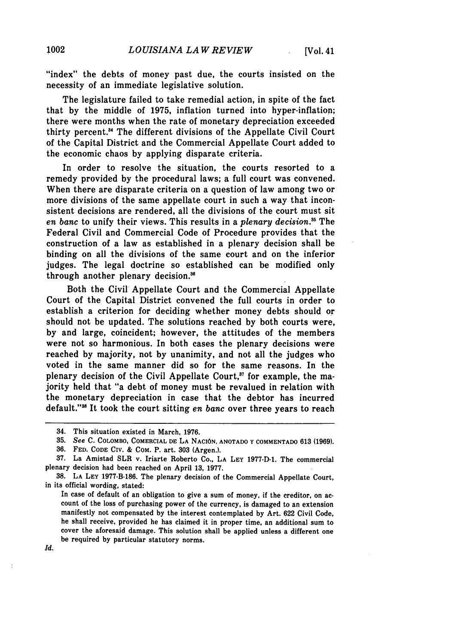"index" the debts of money past due, the courts insisted on the necessity of an immediate legislative solution.

The legislature failed to take remedial action, in spite of the fact that by the middle of 1975, inflation turned into hyper-inflation; there were months when the rate of monetary depreciation exceeded thirty percent. 4 The different divisions of the Appellate Civil Court of the Capital District and the Commercial Appellate Court added to the economic chaos **by** applying disparate criteria.

In order to resolve the situation, the courts resorted to a remedy provided **by** the procedural laws; a full court was convened. When there are disparate criteria on a question of law among two or more divisions of the same appellate court in such a way that inconsistent decisions are rendered, all the divisions of the court must sit *en banc* to unify their views. This results in a *plenary decision.5* The Federal Civil and Commercial Code of Procedure provides that the construction of a law as established in a plenary decision shall be binding on all the divisions of the same court and on the inferior judges. The legal doctrine so established can be modified only through another plenary decision.<sup>36</sup>

Both the Civil Appellate Court and the Commercial Appellate Court of the Capital District convened the full courts in order to establish a criterion for deciding whether money debts should or should not be updated. The solutions reached **by** both courts were, **by** and large, coincident; however, the attitudes of the members were not so harmonious. In both cases the plenary decisions were reached **by** majority, not **by** unanimity, and not all the judges who voted in the same manner did so for the same reasons. In the plenary decision of the Civil Appellate Court.<sup>37</sup> for example, the majority held that "a debt of money must be revalued in relation with the monetary depreciation in case that the debtor has incurred default."<sup>38</sup> It took the court sitting *en banc* over three years to reach

**36. FED. CODE** CIV. **&** COM. P. art. **303** (Argen.).

In case of default of an obligation to give a sum of money, if the creditor, on account of the loss of purchasing power of the currency, is damaged to an extension manifestly not compensated **by** the interest contemplated **by** Art. **622** Civil Code, he shall receive, provided he has claimed it in proper time, an additional sum to cover the aforesaid damage. This solution shall be applied unless a different one be required **by** particular statutory norms.

Id.

<sup>34.</sup> This situation existed in March, **1976.**

**<sup>35.</sup>** See **C. COLOMBO, COMERCIAL DE LA NACION, ANOTADO Y COMMENTADO 613 (1969).**

**<sup>37.</sup>** La Amistad SLR v. Iriarte Roberto Co., **LA LEY 1977-D-1.** The commercial plenary decision had been reached on April **13, 1977.**

**<sup>38.</sup> LA LEY 1977-B-186.** The plenary decision of the Commercial Appellate Court, in its official wording, stated: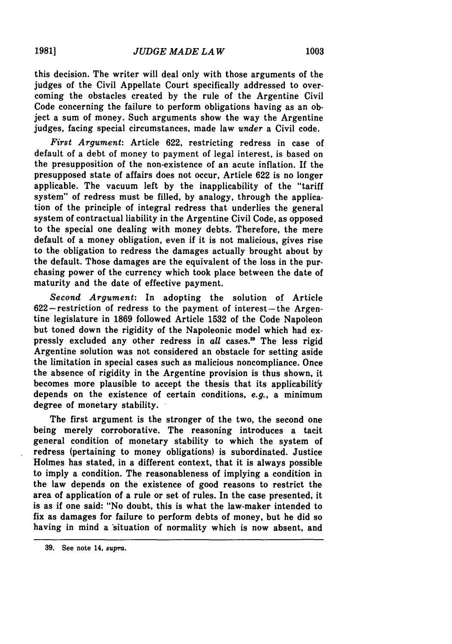this decision. The writer will deal only with those arguments of the judges of the Civil Appellate Court specifically addressed to overcoming the obstacles created **by** the rule of the Argentine Civil Code concerning the failure to perform obligations having as an object a sum of money. Such arguments show the way the Argentine judges, facing special circumstances, made law *under* a Civil code.

*First Argument:* Article **622,** restricting redress in case of default of a debt of money to payment of legal interest, is based on the presupposition of the non-existence of an acute inflation. If the presupposed state of affairs does not occur, Article **622** is no longer applicable. The vacuum left **by** the inapplicability of the "tariff system" of redress must be filled, **by** analogy, through the application of the principle of integral redress that underlies the general system of contractual liability in the Argentine Civil Code, as opposed to the special one dealing with money debts. Therefore, the mere default of a money obligation, even if it is not malicious, gives rise to the obligation to redress the damages actually brought about **by** the default. Those damages are the equivalent of the loss in the purchasing power of the currency which took place between the date of maturity and the date of effective payment.

*Second Argument:* In adopting the solution of Article 622-restriction of redress to the payment of interest-the Argentine legislature in **1869** followed Article **1532** of the Code Napoleon but toned down the rigidity of the Napoleonic model which had expressly excluded any other redress in all cases." The less rigid Argentine solution was not considered an obstacle for setting aside the limitation in special cases such as malicious noncompliance. Once the absence of rigidity in the Argentine provision is thus shown, it becomes more plausible to accept the thesis that its applicability depends on the existence of certain conditions, *e.g.,* a minimum degree of monetary stability.

The first argument is the stronger of the two, the second one being merely corroborative. The reasoning introduces a tacit general condition of monetary stability to which the system **of** redress (pertaining to money obligations) is subordinated. Justice Holmes has stated, in a different context, that it is always possible to imply a condition. The reasonableness of implying a condition in the law depends on the existence of good reasons to restrict the area of application of a rule or set of rules. In the case presented, it is as if one said: "No doubt, this is what the law-maker intended to fix as damages for failure to perform debts of money, but he did so having in mind a situation of normality which is now absent, and

**<sup>39.</sup>** See note 14, **supra.**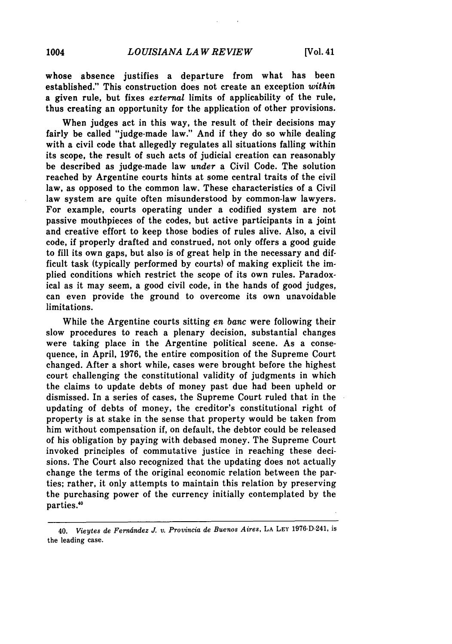whose absence justifies a departure from what has been established." This construction does not create an exception *within* a given rule, but fixes *external* limits of applicability of the rule, thus creating an opportunity for the application of other provisions.

When judges act in this way, the result of their decisions may fairly be called "judge-made law." And if they do so while dealing with a civil code that allegedly regulates all situations falling within its scope, the result of such acts of judicial creation can reasonably be described as judge-made law *under* a Civil Code. The solution reached **by** Argentine courts hints at some central traits of the civil law, as opposed to the common law. These characteristics of a Civil law system are quite often misunderstood **by** common-law lawyers. For example, courts operating under a codified system are not passive mouthpieces of the codes, but active participants in a joint and creative effort to keep those bodies of rules alive. Also, a civil code, if properly drafted and construed, not only offers a good guide to fill its own gaps, but also is of great help in the necessary and difficult task (typically performed **by** courts) of making explicit the implied conditions which restrict the scope of its own rules. Paradoxical as it may seem, a good civil code, in the hands of good judges, can even provide the ground to overcome its own unavoidable limitations.

While the Argentine courts sitting *en banc* were following their slow procedures to reach a plenary decision, substantial changes were taking place in the Argentine political scene. As a consequence, in April, **1976,** the entire composition **of** the Supreme Court changed. After a short while, cases were brought before the highest court challenging the constitutional validity of judgments in which the claims to update debts of money past due had been upheld or dismissed. In a series of cases, the Supreme Court ruled that in the updating of debts of money, the creditor's constitutional right of property is at stake in the sense that property would be taken from him without compensation if, on default, the debtor could be released of his obligation **by** paying with debased money. The Supreme Court invoked principles of commutative justice in reaching these decisions. The Court also recognized that the updating does not actually change the terms of the original economic relation between the parties; rather, it only attempts to maintain this relation **by** preserving the purchasing power of the currency initially contemplated **by** the parties."

<sup>40.</sup> *Vieytes de Ferndndez J. v. Provincia de Buenos Aires,* **LA** LEY 1976-D-241, is the leading case.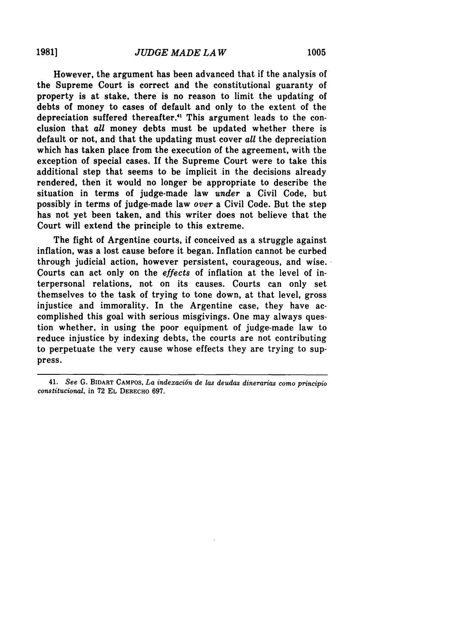However, the argument has been advanced that if the analysis of the Supreme Court is correct and the constitutional guaranty of property is at stake, there is no reason to limit the updating of debts of money to cases of default and only to the extent of the depreciation suffered thereafter." This argument leads to the conclusion that *all* money debts must be updated whether there is default or not, and that the updating must cover *all* the depreciation which has taken place from the execution of the agreement, with the exception of special cases. If the Supreme Court were to take this additional step that seems to be implicit in the decisions already rendered, then it would no longer **be** appropriate to describe the situation in terms of judge-made law *under* a Civil Code, but possibly in terms of judge-made law *over* a Civil Code. But the step has not yet been taken, and this writer does not believe that the Court will extend the principle to this extreme.

The fight of Argentine courts, if conceived as a struggle against inflation, was a lost cause before it began. Inflation cannot be curbed through judicial action, however persistent, courageous, and wise. Courts can act only on the *effects* of inflation at the level of interpersonal relations, not on its causes. Courts can only set themselves to the task of trying to tone down, at that level, gross injustice and immorality. In the Argentine case, they have accomplished this goal with serious misgivings. One may always question whether, in using the poor equipment of judge-made law to reduce injustice by indexing debts, the courts are not contributing to perpetuate the very cause whose effects they are trying to suppress.

**<sup>41.</sup>** *See* **G.** BIDART CAMPOS, *La indexaci6n de las deudas dinerarias* como *principio constitucional,* in **72** EL **DERECHO 697.**